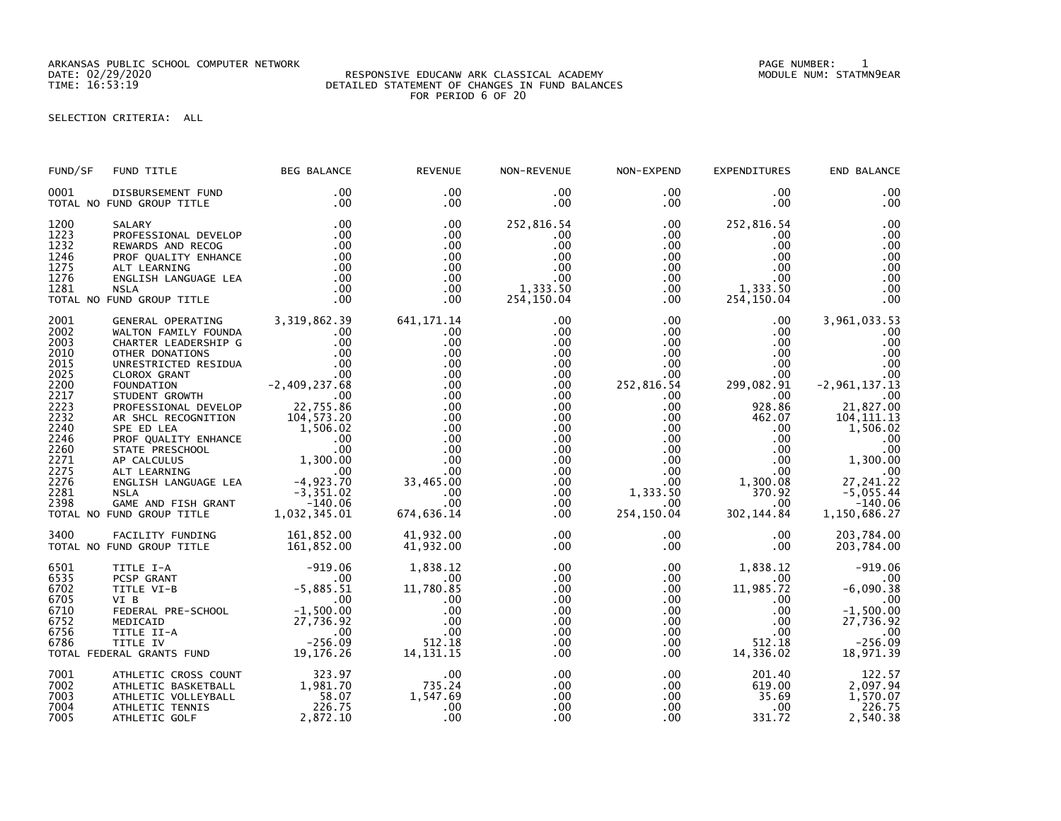ARKANSAS PUBLIC SCHOOL COMPUTER NETWORK PAGE NUMBER: 1

## DATE: 02/29/2020 RESPONSIVE EDUCANW ARK CLASSICAL ACADEMY MODULE NUM: STATMN9EAR TIME: 16:53:19 DETAILED STATEMENT OF CHANGES IN FUND BALANCES FOR PERIOD 6 OF 20

## SELECTION CRITERIA: ALL

| FUND/SF                                                                                                                                      | FUND TITLE                                                                                                                                                                                                                                                                                                                                                             | BEG BALANCE                        | <b>REVENUE</b>                                                                                                                                                                                            | NON-REVENUE                                                                                                                                                                                           | NON-EXPEND                                                                                                                                                                                                            | <b>EXPENDITURES</b>                                                                                                                                                                             | END BALANCE                                                                                                                                                                                                                |
|----------------------------------------------------------------------------------------------------------------------------------------------|------------------------------------------------------------------------------------------------------------------------------------------------------------------------------------------------------------------------------------------------------------------------------------------------------------------------------------------------------------------------|------------------------------------|-----------------------------------------------------------------------------------------------------------------------------------------------------------------------------------------------------------|-------------------------------------------------------------------------------------------------------------------------------------------------------------------------------------------------------|-----------------------------------------------------------------------------------------------------------------------------------------------------------------------------------------------------------------------|-------------------------------------------------------------------------------------------------------------------------------------------------------------------------------------------------|----------------------------------------------------------------------------------------------------------------------------------------------------------------------------------------------------------------------------|
| 0001                                                                                                                                         | DISBURSEMENT FUND<br>TOTAL NO FUND GROUP TITLE                                                                                                                                                                                                                                                                                                                         | .00<br>.00                         | $.00 \,$<br>$.00 \cdot$                                                                                                                                                                                   | .00<br>$.00 \,$                                                                                                                                                                                       | $.00 \,$<br>.00                                                                                                                                                                                                       | $.00 \,$<br>.00.                                                                                                                                                                                | .00<br>.00                                                                                                                                                                                                                 |
| 1200<br>1223<br>1232<br>1246<br>1275<br>1276<br>1281                                                                                         | SALARY<br>SALARY .00<br>PROFESSIONAL DEVELOP<br>REWARDS AND RECOG .00<br>REWARDS AND RECOG .00<br>PROF QUALITY ENHANCE .00<br>ALT LEARNING .00<br>ENGLISH LANGUAGE LEA .00<br>NSLA .00<br>NSLA .00<br>FUND GROUP TITLE .00<br>TOTAL NO FUND GROUP TITLE                                                                                                                | .00                                | .00<br>.00<br>.00<br>.00<br>.00<br>.00<br>.00<br>.00                                                                                                                                                      | 252,816.54<br>.00<br>.00<br>.00<br>.00<br>.00<br>1,333.50<br>254,150.04                                                                                                                               | $.00 \,$<br>$.00 \,$<br>$.00 \,$<br>.00<br>.00<br>.00<br>$.00 \,$<br>$.00 \,$                                                                                                                                         | 252,816.54<br>$.00 \,$<br>$.00 \,$<br>$.00 \,$<br>$.00 \,$<br>$.00 \,$<br>1,333.50<br>254.150.04<br>254,150.04                                                                                  | .00<br>.00<br>.00<br>$\overline{00}$<br>.00<br>.00<br>.00<br>.00                                                                                                                                                           |
| 2001<br>2002<br>2003<br>2010<br>2015<br>2025<br>2200<br>2217<br>2223<br>2232<br>2240<br>2246<br>2260<br>2271<br>2275<br>2276<br>2281<br>2398 | GENERAL OPERATING 3,319,862.39<br>WALTON FAMILY FOUNDA<br>CHARTER LEADERSHIP G<br>CHARTER LEADERSHIP G<br>OTHER DONATIONS<br>CLOROX GRANT<br>FOUNDATION<br>FOUNDATION<br>FOUNDATION<br>FOUNDATION<br>FOUNDATION<br>PROFESSIONAL DEVELOP<br>PROFESSIONAL DEVELOP<br>AR SHCL RECOGNITION<br>AR SHCL RECOGNITION<br>STATE PRESCHOOL<br>STATE<br>TOTAL NO FUND GROUP TITLE | $\frac{0}{00}$ .                   | 641, 171. 14<br>.00<br>.00<br>.00<br>.00<br>.00<br>.00<br>.00<br>.00<br>.00<br>.00<br>.00<br>$\begin{array}{ccc}\n 0 & 33,465.00 \\  & 33,465.00 \\  & 0 & 0 \\  & 33.465.00\n \end{array}$<br>674,636.14 | $.00 \,$<br>$.00 \,$<br>.00<br>$.00 \,$<br>$.00 \,$<br>.00<br>$.00 \,$<br>$.00 \,$<br>.00 <sub>1</sub><br>.00<br>$.00 \,$<br>.00<br>$.00 \,$<br>.00<br>$.00 \,$<br>.00<br>.00<br>$.00 \,$<br>$.00 \,$ | $.00 \,$<br>$.00\,$<br>$.00\,$<br>.00<br>.00 <sub>1</sub><br>.00<br>252,816.54<br>$.00 \,$<br>.00 <sub>1</sub><br>$.00\,$<br>.00<br>.00<br>.00<br>.00<br>.00<br>$.00\,$<br>1,333.50<br>.00 <sub>1</sub><br>254,150.04 | $.00 \,$<br>$.00 \,$<br>$.00 \,$<br>$.00 \,$<br>$00 \ 00$<br>299,082.91<br>$.00 \,$<br>928.86<br>462.07<br>$.00 \,$<br>$.00 \,$<br>.00<br>.00<br>.00<br>1,300.08<br>370.92<br>.00<br>302,144.84 | 3,961,033.53<br>.00<br>.00<br>.00<br>.00<br>.00<br>$-2, 961, 137.13$<br>.00<br>21,827.00<br>104, 111.13<br>1,506.02<br>.00<br>$\overline{00}$<br>1,300.00<br>.00<br>27, 241.22<br>$-5,055.44$<br>$-140.06$<br>1,150,686.27 |
| 3400                                                                                                                                         | FACILITY FUNDING 161,852.00<br>TOTAL NO FUND GROUP TITLE                                                                                                                                                                                                                                                                                                               | 161,852.00                         | 41,932.00<br>41,932.00                                                                                                                                                                                    | .00<br>$.00 \,$                                                                                                                                                                                       | $.00\,$<br>.00                                                                                                                                                                                                        | $.00 \,$<br>$.00 \,$                                                                                                                                                                            | 203,784.00<br>203,784.00                                                                                                                                                                                                   |
|                                                                                                                                              | 6501 TITLE I-A -919.06<br>6535 PCSP GRANT .00<br>6702 TITLE VI-B<br>6705 VI B -5,885.51<br>6705 VI B .00<br>6710 FEDERAL PRE-SCHOOL -1,500.00<br>6752 MEDICAID 27,736.92<br>6756 TITLE II-A .00<br>6786 TITLE IV -256.09<br>TOTAL FEDERAL GRANTS                                                                                                                       |                                    | 1,838.12<br>.00<br>11,780.85<br>.00<br>.00<br>.00<br>.00<br>512.18<br>14, 131.15                                                                                                                          | $.00 \,$<br>.00<br>.00<br>.00<br>.00<br>.00<br>$.00 \,$<br>.00<br>.00                                                                                                                                 | $.00\,$<br>$.00 \ \,$<br>.00 <sub>1</sub><br>.00<br>$.00\,$<br>$.00\,$<br>$.00\,$<br>$.00 \,$<br>.00                                                                                                                  | 1,838.12<br>$.00 \ \,$<br>11,985.72<br>$.00 \,$<br>$.00 \,$<br>$.00 \,$<br>.00<br>512.18<br>14,336.02                                                                                           | $-919.06$<br>.00<br>$-6,090.38$<br>$\sim$ 00<br>$-1,500.00$<br>27,736.92<br>.00<br>$-256.09$<br>18,971.39                                                                                                                  |
| 7001<br>7002<br>7003<br>7004<br>7005                                                                                                         | ATHLETIC CROSS COUNT 323.97<br>ATHLETIC BASKETBALL 1,981.70<br>ATHLETIC VOLLEYBALL<br>ATHLETIC TENNIS<br>ATHLETIC GOLF                                                                                                                                                                                                                                                 | $\frac{58.07}{226.75}$<br>2,872.10 | .00<br>735.24<br>1,547.69<br>.00<br>.00                                                                                                                                                                   | $.00 \,$<br>$.00 \,$<br>$.00 \,$<br>.00<br>.00                                                                                                                                                        | $.00 \,$<br>$.00\,$<br>.00<br>$.00 \,$<br>.00 <sub>1</sub>                                                                                                                                                            | 201.40<br>619.00<br>35.69<br>$.00 \,$<br>331.72                                                                                                                                                 | 122.57<br>2,097.94<br>1,570.07<br>226.75<br>2,540.38                                                                                                                                                                       |